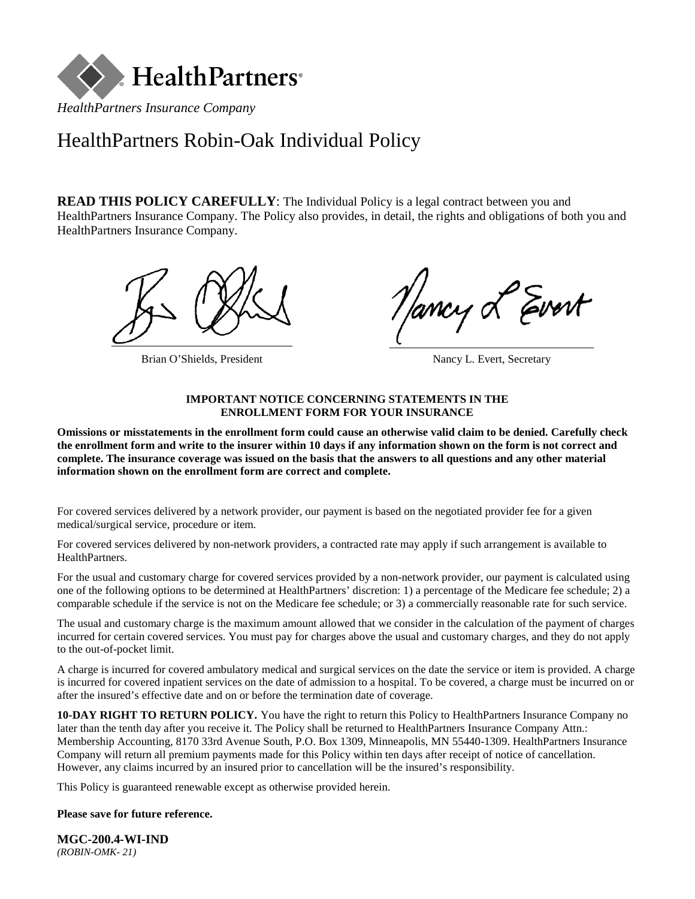

# HealthPartners Robin-Oak Individual Policy

**READ THIS POLICY CAREFULLY:** The Individual Policy is a legal contract between you and HealthPartners Insurance Company. The Policy also provides, in detail, the rights and obligations of both you and HealthPartners Insurance Company.



Brian O'Shields, President Nancy L. Evert, Secretary

lancy L Evert

### **IMPORTANT NOTICE CONCERNING STATEMENTS IN THE ENROLLMENT FORM FOR YOUR INSURANCE**

**Omissions or misstatements in the enrollment form could cause an otherwise valid claim to be denied. Carefully check the enrollment form and write to the insurer within 10 days if any information shown on the form is not correct and complete. The insurance coverage was issued on the basis that the answers to all questions and any other material information shown on the enrollment form are correct and complete.**

For covered services delivered by a network provider, our payment is based on the negotiated provider fee for a given medical/surgical service, procedure or item.

For covered services delivered by non-network providers, a contracted rate may apply if such arrangement is available to HealthPartners.

For the usual and customary charge for covered services provided by a non-network provider, our payment is calculated using one of the following options to be determined at HealthPartners' discretion: 1) a percentage of the Medicare fee schedule; 2) a comparable schedule if the service is not on the Medicare fee schedule; or 3) a commercially reasonable rate for such service.

The usual and customary charge is the maximum amount allowed that we consider in the calculation of the payment of charges incurred for certain covered services. You must pay for charges above the usual and customary charges, and they do not apply to the out-of-pocket limit.

A charge is incurred for covered ambulatory medical and surgical services on the date the service or item is provided. A charge is incurred for covered inpatient services on the date of admission to a hospital. To be covered, a charge must be incurred on or after the insured's effective date and on or before the termination date of coverage.

**10-DAY RIGHT TO RETURN POLICY.** You have the right to return this Policy to HealthPartners Insurance Company no later than the tenth day after you receive it. The Policy shall be returned to HealthPartners Insurance Company Attn.: Membership Accounting, 8170 33rd Avenue South, P.O. Box 1309, Minneapolis, MN 55440-1309. HealthPartners Insurance Company will return all premium payments made for this Policy within ten days after receipt of notice of cancellation. However, any claims incurred by an insured prior to cancellation will be the insured's responsibility.

This Policy is guaranteed renewable except as otherwise provided herein.

### **Please save for future reference.**

**MGC-200.4-WI-IND** *(ROBIN-OMK- 21)*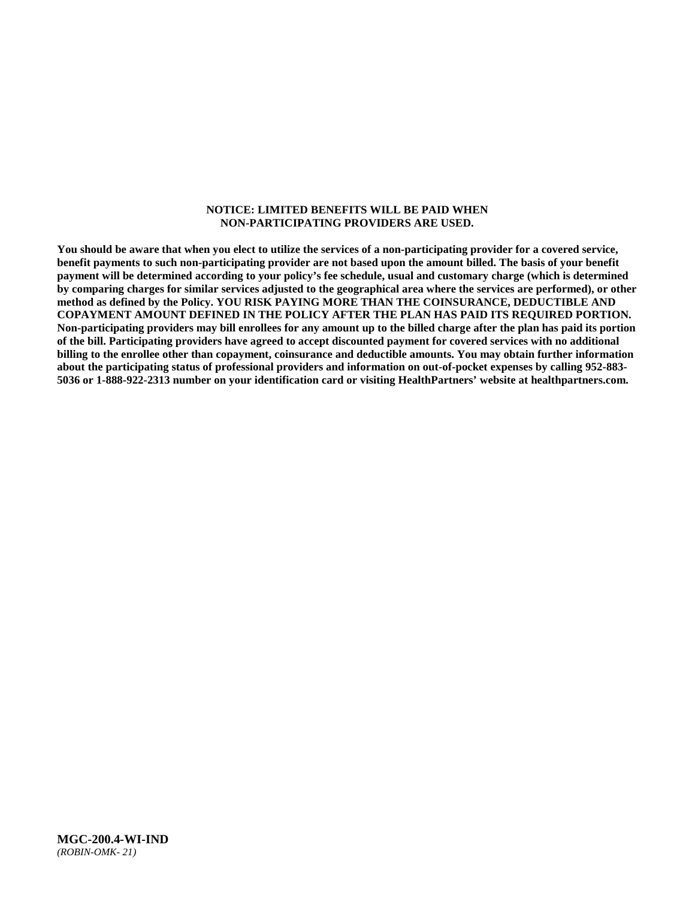#### **NOTICE: LIMITED BENEFITS WILL BE PAID WHEN NON-PARTICIPATING PROVIDERS ARE USED.**

**You should be aware that when you elect to utilize the services of a non-participating provider for a covered service, benefit payments to such non-participating provider are not based upon the amount billed. The basis of your benefit payment will be determined according to your policy's fee schedule, usual and customary charge (which is determined by comparing charges for similar services adjusted to the geographical area where the services are performed), or other method as defined by the Policy. YOU RISK PAYING MORE THAN THE COINSURANCE, DEDUCTIBLE AND COPAYMENT AMOUNT DEFINED IN THE POLICY AFTER THE PLAN HAS PAID ITS REQUIRED PORTION. Non-participating providers may bill enrollees for any amount up to the billed charge after the plan has paid its portion of the bill. Participating providers have agreed to accept discounted payment for covered services with no additional billing to the enrollee other than copayment, coinsurance and deductible amounts. You may obtain further information about the participating status of professional providers and information on out-of-pocket expenses by calling 952-883- 5036 or 1-888-922-2313 number on your identification card or visiting HealthPartners' website at [healthpartners.com.](http://www.healthpartners.com/)**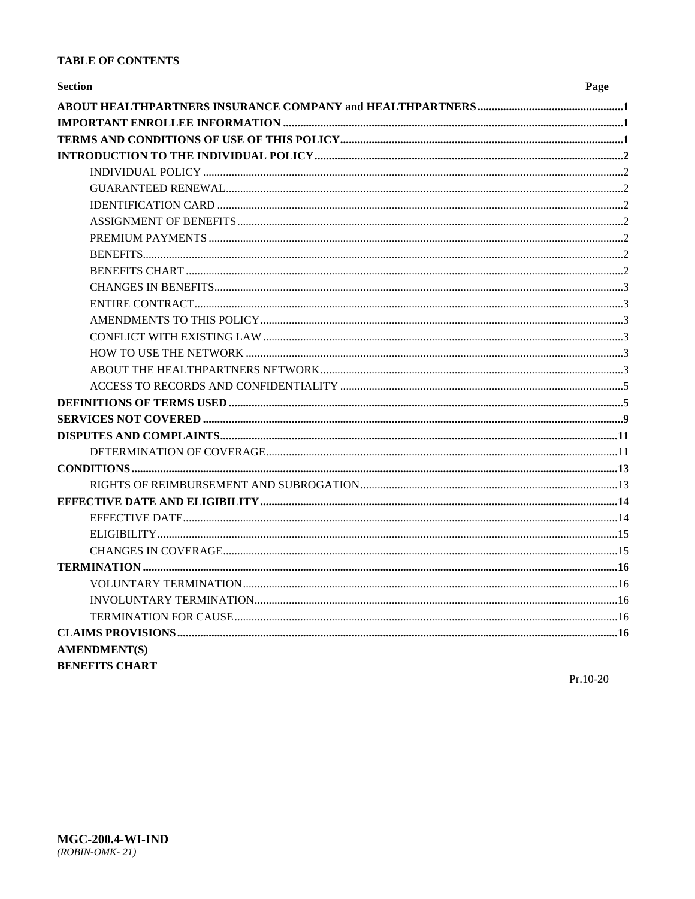### **TABLE OF CONTENTS**

| <b>Section</b>        | Page |
|-----------------------|------|
|                       |      |
|                       |      |
|                       |      |
|                       |      |
|                       |      |
|                       |      |
|                       |      |
|                       |      |
|                       |      |
|                       |      |
|                       |      |
|                       |      |
|                       |      |
|                       |      |
|                       |      |
|                       |      |
|                       |      |
|                       |      |
|                       |      |
|                       |      |
|                       |      |
|                       |      |
|                       |      |
|                       |      |
|                       |      |
|                       |      |
|                       |      |
|                       |      |
|                       |      |
|                       |      |
|                       |      |
|                       |      |
|                       |      |
| <b>AMENDMENT(S)</b>   |      |
| <b>BENEFITS CHART</b> |      |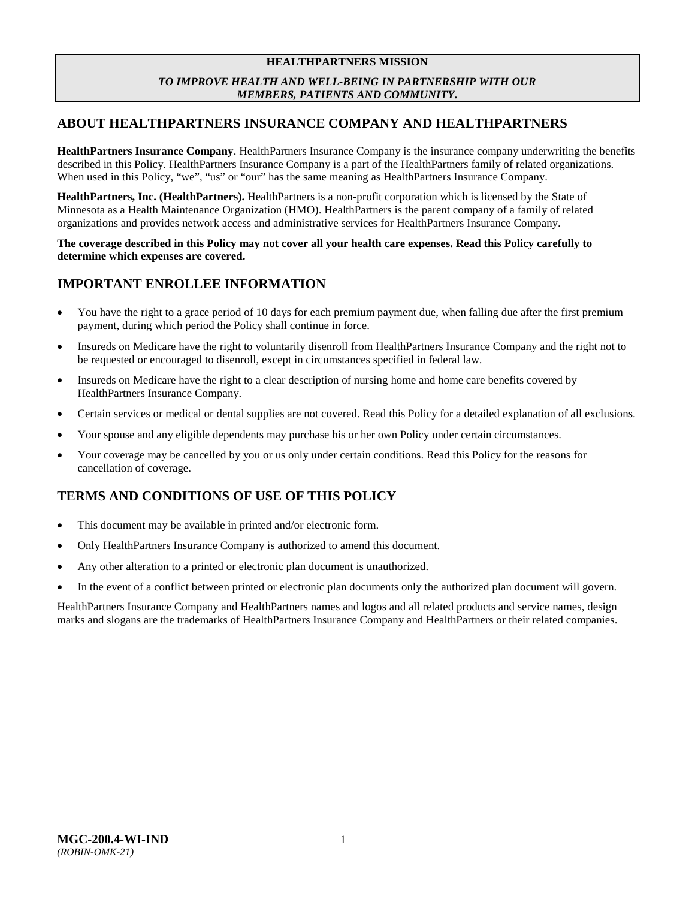### **HEALTHPARTNERS MISSION** *TO IMPROVE HEALTH AND WELL-BEING IN PARTNERSHIP WITH OUR MEMBERS, PATIENTS AND COMMUNITY***.**

# <span id="page-3-0"></span>**ABOUT HEALTHPARTNERS INSURANCE COMPANY AND HEALTHPARTNERS**

**HealthPartners Insurance Company**. HealthPartners Insurance Company is the insurance company underwriting the benefits described in this Policy. HealthPartners Insurance Company is a part of the HealthPartners family of related organizations. When used in this Policy, "we", "us" or "our" has the same meaning as HealthPartners Insurance Company.

**HealthPartners, Inc. (HealthPartners).** HealthPartners is a non-profit corporation which is licensed by the State of Minnesota as a Health Maintenance Organization (HMO). HealthPartners is the parent company of a family of related organizations and provides network access and administrative services for HealthPartners Insurance Company.

**The coverage described in this Policy may not cover all your health care expenses. Read this Policy carefully to determine which expenses are covered.**

# <span id="page-3-1"></span>**IMPORTANT ENROLLEE INFORMATION**

- You have the right to a grace period of 10 days for each premium payment due, when falling due after the first premium payment, during which period the Policy shall continue in force.
- Insureds on Medicare have the right to voluntarily disenroll from HealthPartners Insurance Company and the right not to be requested or encouraged to disenroll, except in circumstances specified in federal law.
- Insureds on Medicare have the right to a clear description of nursing home and home care benefits covered by HealthPartners Insurance Company.
- Certain services or medical or dental supplies are not covered. Read this Policy for a detailed explanation of all exclusions.
- Your spouse and any eligible dependents may purchase his or her own Policy under certain circumstances.
- Your coverage may be cancelled by you or us only under certain conditions. Read this Policy for the reasons for cancellation of coverage.

# <span id="page-3-2"></span>**TERMS AND CONDITIONS OF USE OF THIS POLICY**

- This document may be available in printed and/or electronic form.
- Only HealthPartners Insurance Company is authorized to amend this document.
- Any other alteration to a printed or electronic plan document is unauthorized.
- In the event of a conflict between printed or electronic plan documents only the authorized plan document will govern.

HealthPartners Insurance Company and HealthPartners names and logos and all related products and service names, design marks and slogans are the trademarks of HealthPartners Insurance Company and HealthPartners or their related companies.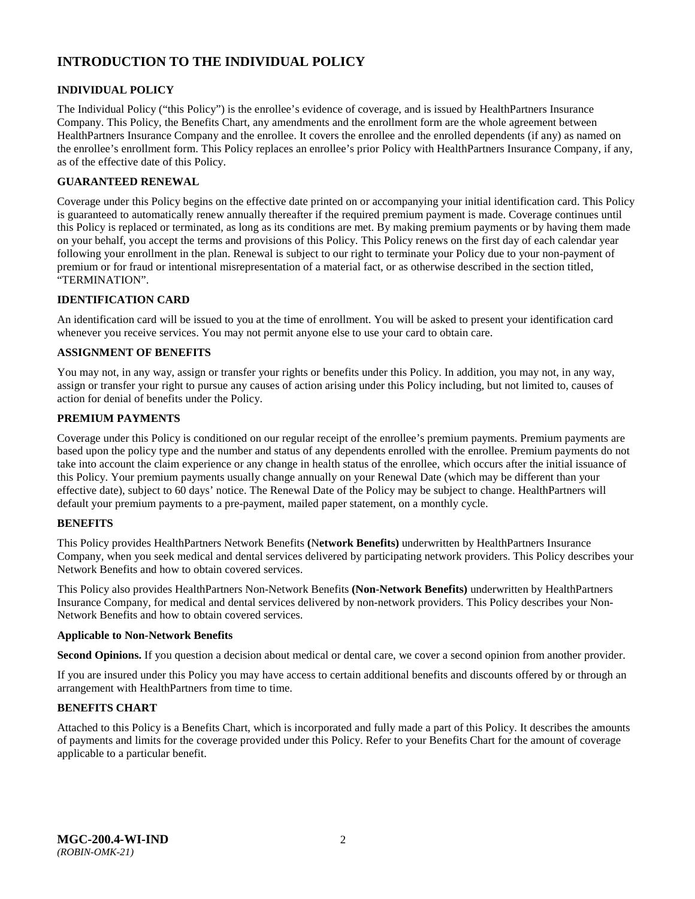# <span id="page-4-0"></span>**INTRODUCTION TO THE INDIVIDUAL POLICY**

### <span id="page-4-1"></span>**INDIVIDUAL POLICY**

The Individual Policy ("this Policy") is the enrollee's evidence of coverage, and is issued by HealthPartners Insurance Company. This Policy, the Benefits Chart, any amendments and the enrollment form are the whole agreement between HealthPartners Insurance Company and the enrollee. It covers the enrollee and the enrolled dependents (if any) as named on the enrollee's enrollment form. This Policy replaces an enrollee's prior Policy with HealthPartners Insurance Company, if any, as of the effective date of this Policy.

### <span id="page-4-2"></span>**GUARANTEED RENEWAL**

Coverage under this Policy begins on the effective date printed on or accompanying your initial identification card. This Policy is guaranteed to automatically renew annually thereafter if the required premium payment is made. Coverage continues until this Policy is replaced or terminated, as long as its conditions are met. By making premium payments or by having them made on your behalf, you accept the terms and provisions of this Policy. This Policy renews on the first day of each calendar year following your enrollment in the plan. Renewal is subject to our right to terminate your Policy due to your non-payment of premium or for fraud or intentional misrepresentation of a material fact, or as otherwise described in the section titled, "TERMINATION".

### <span id="page-4-3"></span>**IDENTIFICATION CARD**

An identification card will be issued to you at the time of enrollment. You will be asked to present your identification card whenever you receive services. You may not permit anyone else to use your card to obtain care.

### <span id="page-4-4"></span>**ASSIGNMENT OF BENEFITS**

You may not, in any way, assign or transfer your rights or benefits under this Policy. In addition, you may not, in any way, assign or transfer your right to pursue any causes of action arising under this Policy including, but not limited to, causes of action for denial of benefits under the Policy.

### <span id="page-4-5"></span>**PREMIUM PAYMENTS**

Coverage under this Policy is conditioned on our regular receipt of the enrollee's premium payments. Premium payments are based upon the policy type and the number and status of any dependents enrolled with the enrollee. Premium payments do not take into account the claim experience or any change in health status of the enrollee, which occurs after the initial issuance of this Policy. Your premium payments usually change annually on your Renewal Date (which may be different than your effective date), subject to 60 days' notice. The Renewal Date of the Policy may be subject to change. HealthPartners will default your premium payments to a pre-payment, mailed paper statement, on a monthly cycle.

### <span id="page-4-6"></span>**BENEFITS**

This Policy provides HealthPartners Network Benefits **(**N**etwork Benefits)** underwritten by HealthPartners Insurance Company, when you seek medical and dental services delivered by participating network providers. This Policy describes your Network Benefits and how to obtain covered services.

This Policy also provides HealthPartners Non-Network Benefits **(Non-Network Benefits)** underwritten by HealthPartners Insurance Company, for medical and dental services delivered by non-network providers. This Policy describes your Non-Network Benefits and how to obtain covered services.

#### **Applicable to Non-Network Benefits**

**Second Opinions.** If you question a decision about medical or dental care, we cover a second opinion from another provider.

If you are insured under this Policy you may have access to certain additional benefits and discounts offered by or through an arrangement with HealthPartners from time to time.

### <span id="page-4-7"></span>**BENEFITS CHART**

Attached to this Policy is a Benefits Chart, which is incorporated and fully made a part of this Policy. It describes the amounts of payments and limits for the coverage provided under this Policy. Refer to your Benefits Chart for the amount of coverage applicable to a particular benefit.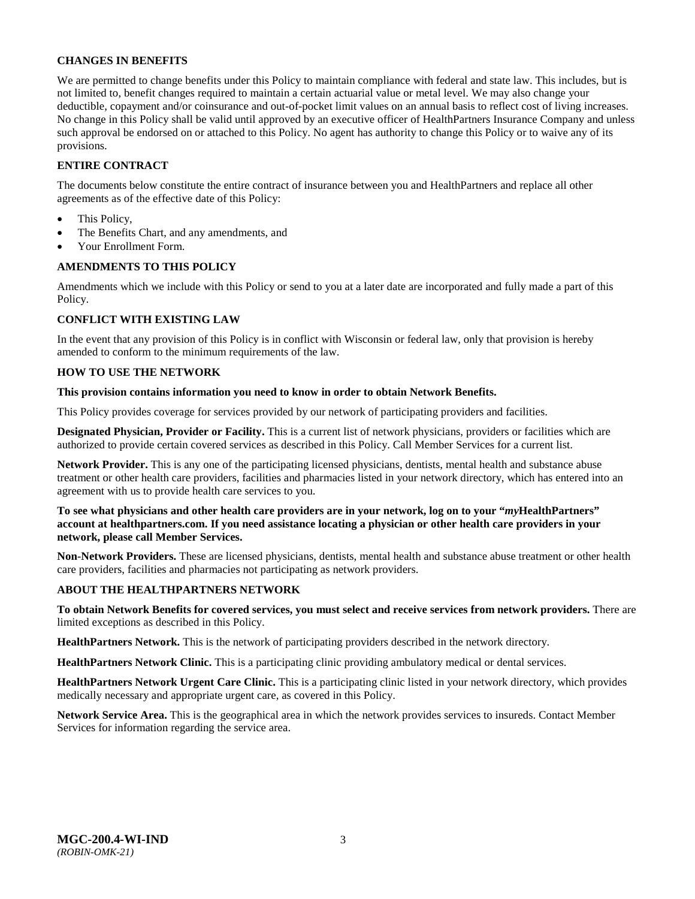### <span id="page-5-0"></span>**CHANGES IN BENEFITS**

We are permitted to change benefits under this Policy to maintain compliance with federal and state law. This includes, but is not limited to, benefit changes required to maintain a certain actuarial value or metal level. We may also change your deductible, copayment and/or coinsurance and out-of-pocket limit values on an annual basis to reflect cost of living increases. No change in this Policy shall be valid until approved by an executive officer of HealthPartners Insurance Company and unless such approval be endorsed on or attached to this Policy. No agent has authority to change this Policy or to waive any of its provisions.

### <span id="page-5-1"></span>**ENTIRE CONTRACT**

The documents below constitute the entire contract of insurance between you and HealthPartners and replace all other agreements as of the effective date of this Policy:

- This Policy,
- The Benefits Chart, and any amendments, and
- Your Enrollment Form.

### <span id="page-5-2"></span>**AMENDMENTS TO THIS POLICY**

Amendments which we include with this Policy or send to you at a later date are incorporated and fully made a part of this Policy.

### <span id="page-5-3"></span>**CONFLICT WITH EXISTING LAW**

In the event that any provision of this Policy is in conflict with Wisconsin or federal law, only that provision is hereby amended to conform to the minimum requirements of the law.

### <span id="page-5-4"></span>**HOW TO USE THE NETWORK**

#### **This provision contains information you need to know in order to obtain Network Benefits.**

This Policy provides coverage for services provided by our network of participating providers and facilities.

**Designated Physician, Provider or Facility.** This is a current list of network physicians, providers or facilities which are authorized to provide certain covered services as described in this Policy. Call Member Services for a current list.

**Network Provider.** This is any one of the participating licensed physicians, dentists, mental health and substance abuse treatment or other health care providers, facilities and pharmacies listed in your network directory, which has entered into an agreement with us to provide health care services to you.

**To see what physicians and other health care providers are in your network, log on to your "***my***HealthPartners" account at [healthpartners.com.](http://www.healthpartners.com/) If you need assistance locating a physician or other health care providers in your network, please call Member Services.** 

**Non-Network Providers.** These are licensed physicians, dentists, mental health and substance abuse treatment or other health care providers, facilities and pharmacies not participating as network providers.

### <span id="page-5-5"></span>**ABOUT THE HEALTHPARTNERS NETWORK**

**To obtain Network Benefits for covered services, you must select and receive services from network providers.** There are limited exceptions as described in this Policy.

**HealthPartners Network.** This is the network of participating providers described in the network directory.

**HealthPartners Network Clinic.** This is a participating clinic providing ambulatory medical or dental services.

**HealthPartners Network Urgent Care Clinic.** This is a participating clinic listed in your network directory, which provides medically necessary and appropriate urgent care, as covered in this Policy.

**Network Service Area.** This is the geographical area in which the network provides services to insureds. Contact Member Services for information regarding the service area.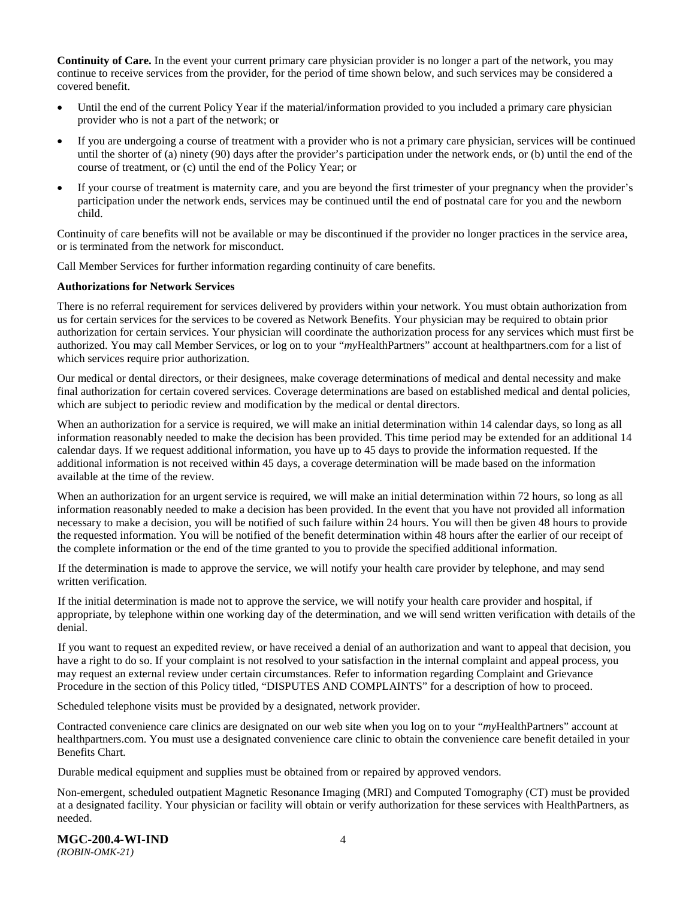**Continuity of Care.** In the event your current primary care physician provider is no longer a part of the network, you may continue to receive services from the provider, for the period of time shown below, and such services may be considered a covered benefit.

- Until the end of the current Policy Year if the material/information provided to you included a primary care physician provider who is not a part of the network; or
- If you are undergoing a course of treatment with a provider who is not a primary care physician, services will be continued until the shorter of (a) ninety (90) days after the provider's participation under the network ends, or (b) until the end of the course of treatment, or (c) until the end of the Policy Year; or
- If your course of treatment is maternity care, and you are beyond the first trimester of your pregnancy when the provider's participation under the network ends, services may be continued until the end of postnatal care for you and the newborn child.

Continuity of care benefits will not be available or may be discontinued if the provider no longer practices in the service area, or is terminated from the network for misconduct.

Call Member Services for further information regarding continuity of care benefits.

#### **Authorizations for Network Services**

There is no referral requirement for services delivered by providers within your network. You must obtain authorization from us for certain services for the services to be covered as Network Benefits. Your physician may be required to obtain prior authorization for certain services. Your physician will coordinate the authorization process for any services which must first be authorized. You may call Member Services, or log on to your "*my*HealthPartners" account at [healthpartners.com](http://www.healthpartners.com/) for a list of which services require prior authorization.

Our medical or dental directors, or their designees, make coverage determinations of medical and dental necessity and make final authorization for certain covered services. Coverage determinations are based on established medical and dental policies, which are subject to periodic review and modification by the medical or dental directors.

When an authorization for a service is required, we will make an initial determination within 14 calendar days, so long as all information reasonably needed to make the decision has been provided. This time period may be extended for an additional 14 calendar days. If we request additional information, you have up to 45 days to provide the information requested. If the additional information is not received within 45 days, a coverage determination will be made based on the information available at the time of the review.

When an authorization for an urgent service is required, we will make an initial determination within 72 hours, so long as all information reasonably needed to make a decision has been provided. In the event that you have not provided all information necessary to make a decision, you will be notified of such failure within 24 hours. You will then be given 48 hours to provide the requested information. You will be notified of the benefit determination within 48 hours after the earlier of our receipt of the complete information or the end of the time granted to you to provide the specified additional information.

If the determination is made to approve the service, we will notify your health care provider by telephone, and may send written verification.

If the initial determination is made not to approve the service, we will notify your health care provider and hospital, if appropriate, by telephone within one working day of the determination, and we will send written verification with details of the denial.

If you want to request an expedited review, or have received a denial of an authorization and want to appeal that decision, you have a right to do so. If your complaint is not resolved to your satisfaction in the internal complaint and appeal process, you may request an external review under certain circumstances. Refer to information regarding Complaint and Grievance Procedure in the section of this Policy titled, "DISPUTES AND COMPLAINTS" for a description of how to proceed.

Scheduled telephone visits must be provided by a designated, network provider.

Contracted convenience care clinics are designated on our web site when you log on to your "*my*HealthPartners" account at [healthpartners.com.](http://www.healthpartners.com/) You must use a designated convenience care clinic to obtain the convenience care benefit detailed in your Benefits Chart.

Durable medical equipment and supplies must be obtained from or repaired by approved vendors.

Non-emergent, scheduled outpatient Magnetic Resonance Imaging (MRI) and Computed Tomography (CT) must be provided at a designated facility. Your physician or facility will obtain or verify authorization for these services with HealthPartners, as needed.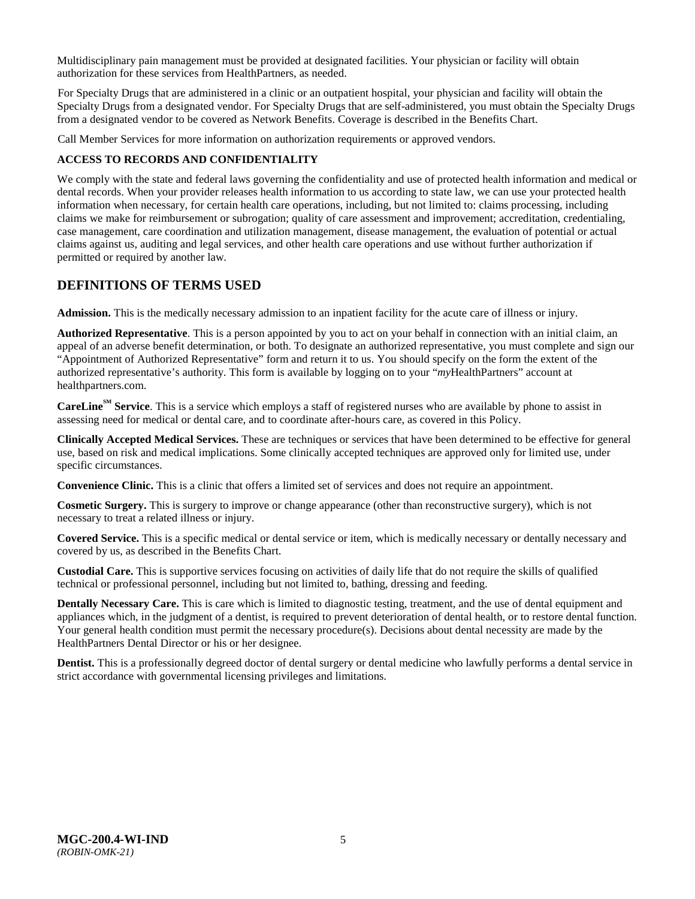Multidisciplinary pain management must be provided at designated facilities. Your physician or facility will obtain authorization for these services from HealthPartners, as needed.

For Specialty Drugs that are administered in a clinic or an outpatient hospital, your physician and facility will obtain the Specialty Drugs from a designated vendor. For Specialty Drugs that are self-administered, you must obtain the Specialty Drugs from a designated vendor to be covered as Network Benefits. Coverage is described in the Benefits Chart.

Call Member Services for more information on authorization requirements or approved vendors.

### <span id="page-7-0"></span>**ACCESS TO RECORDS AND CONFIDENTIALITY**

We comply with the state and federal laws governing the confidentiality and use of protected health information and medical or dental records. When your provider releases health information to us according to state law, we can use your protected health information when necessary, for certain health care operations, including, but not limited to: claims processing, including claims we make for reimbursement or subrogation; quality of care assessment and improvement; accreditation, credentialing, case management, care coordination and utilization management, disease management, the evaluation of potential or actual claims against us, auditing and legal services, and other health care operations and use without further authorization if permitted or required by another law.

### <span id="page-7-1"></span>**DEFINITIONS OF TERMS USED**

**Admission.** This is the medically necessary admission to an inpatient facility for the acute care of illness or injury.

**Authorized Representative**. This is a person appointed by you to act on your behalf in connection with an initial claim, an appeal of an adverse benefit determination, or both. To designate an authorized representative, you must complete and sign our "Appointment of Authorized Representative" form and return it to us. You should specify on the form the extent of the authorized representative's authority. This form is available by logging on to your "*my*HealthPartners" account at [healthpartners.com.](http://www.healthpartners.com/)

**CareLine<sup>SM</sup> Service**. This is a service which employs a staff of registered nurses who are available by phone to assist in assessing need for medical or dental care, and to coordinate after-hours care, as covered in this Policy.

**Clinically Accepted Medical Services.** These are techniques or services that have been determined to be effective for general use, based on risk and medical implications. Some clinically accepted techniques are approved only for limited use, under specific circumstances.

**Convenience Clinic.** This is a clinic that offers a limited set of services and does not require an appointment.

**Cosmetic Surgery.** This is surgery to improve or change appearance (other than reconstructive surgery), which is not necessary to treat a related illness or injury.

**Covered Service.** This is a specific medical or dental service or item, which is medically necessary or dentally necessary and covered by us, as described in the Benefits Chart.

**Custodial Care.** This is supportive services focusing on activities of daily life that do not require the skills of qualified technical or professional personnel, including but not limited to, bathing, dressing and feeding.

**Dentally Necessary Care.** This is care which is limited to diagnostic testing, treatment, and the use of dental equipment and appliances which, in the judgment of a dentist, is required to prevent deterioration of dental health, or to restore dental function. Your general health condition must permit the necessary procedure(s). Decisions about dental necessity are made by the HealthPartners Dental Director or his or her designee.

**Dentist.** This is a professionally degreed doctor of dental surgery or dental medicine who lawfully performs a dental service in strict accordance with governmental licensing privileges and limitations.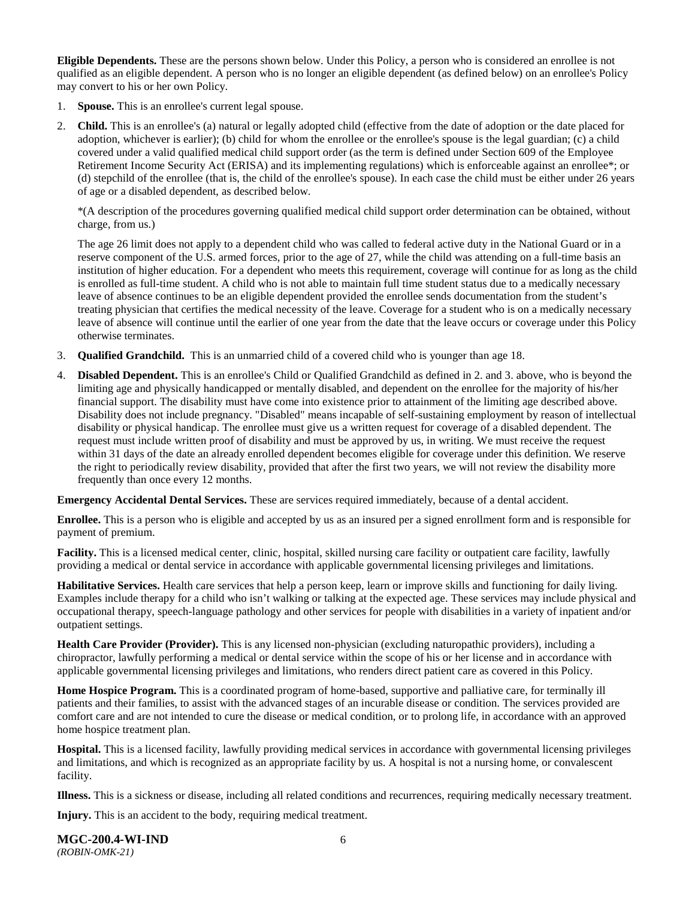**Eligible Dependents.** These are the persons shown below. Under this Policy, a person who is considered an enrollee is not qualified as an eligible dependent. A person who is no longer an eligible dependent (as defined below) on an enrollee's Policy may convert to his or her own Policy.

- 1. **Spouse.** This is an enrollee's current legal spouse.
- 2. **Child.** This is an enrollee's (a) natural or legally adopted child (effective from the date of adoption or the date placed for adoption, whichever is earlier); (b) child for whom the enrollee or the enrollee's spouse is the legal guardian; (c) a child covered under a valid qualified medical child support order (as the term is defined under Section 609 of the Employee Retirement Income Security Act (ERISA) and its implementing regulations) which is enforceable against an enrollee\*; or (d) stepchild of the enrollee (that is, the child of the enrollee's spouse). In each case the child must be either under 26 years of age or a disabled dependent, as described below.

\*(A description of the procedures governing qualified medical child support order determination can be obtained, without charge, from us.)

The age 26 limit does not apply to a dependent child who was called to federal active duty in the National Guard or in a reserve component of the U.S. armed forces, prior to the age of 27, while the child was attending on a full-time basis an institution of higher education. For a dependent who meets this requirement, coverage will continue for as long as the child is enrolled as full-time student. A child who is not able to maintain full time student status due to a medically necessary leave of absence continues to be an eligible dependent provided the enrollee sends documentation from the student's treating physician that certifies the medical necessity of the leave. Coverage for a student who is on a medically necessary leave of absence will continue until the earlier of one year from the date that the leave occurs or coverage under this Policy otherwise terminates.

- 3. **Qualified Grandchild.** This is an unmarried child of a covered child who is younger than age 18.
- 4. **Disabled Dependent.** This is an enrollee's Child or Qualified Grandchild as defined in 2. and 3. above, who is beyond the limiting age and physically handicapped or mentally disabled, and dependent on the enrollee for the majority of his/her financial support. The disability must have come into existence prior to attainment of the limiting age described above. Disability does not include pregnancy. "Disabled" means incapable of self-sustaining employment by reason of intellectual disability or physical handicap. The enrollee must give us a written request for coverage of a disabled dependent. The request must include written proof of disability and must be approved by us, in writing. We must receive the request within 31 days of the date an already enrolled dependent becomes eligible for coverage under this definition. We reserve the right to periodically review disability, provided that after the first two years, we will not review the disability more frequently than once every 12 months.

**Emergency Accidental Dental Services.** These are services required immediately, because of a dental accident.

**Enrollee.** This is a person who is eligible and accepted by us as an insured per a signed enrollment form and is responsible for payment of premium.

**Facility.** This is a licensed medical center, clinic, hospital, skilled nursing care facility or outpatient care facility, lawfully providing a medical or dental service in accordance with applicable governmental licensing privileges and limitations.

**Habilitative Services.** Health care services that help a person keep, learn or improve skills and functioning for daily living. Examples include therapy for a child who isn't walking or talking at the expected age. These services may include physical and occupational therapy, speech-language pathology and other services for people with disabilities in a variety of inpatient and/or outpatient settings.

**Health Care Provider (Provider).** This is any licensed non-physician (excluding naturopathic providers), including a chiropractor, lawfully performing a medical or dental service within the scope of his or her license and in accordance with applicable governmental licensing privileges and limitations, who renders direct patient care as covered in this Policy.

**Home Hospice Program.** This is a coordinated program of home-based, supportive and palliative care, for terminally ill patients and their families, to assist with the advanced stages of an incurable disease or condition. The services provided are comfort care and are not intended to cure the disease or medical condition, or to prolong life, in accordance with an approved home hospice treatment plan.

**Hospital.** This is a licensed facility, lawfully providing medical services in accordance with governmental licensing privileges and limitations, and which is recognized as an appropriate facility by us. A hospital is not a nursing home, or convalescent facility.

**Illness.** This is a sickness or disease, including all related conditions and recurrences, requiring medically necessary treatment.

**Injury.** This is an accident to the body, requiring medical treatment.

**MGC-200.4-WI-IND** 6 *(ROBIN-OMK-21)*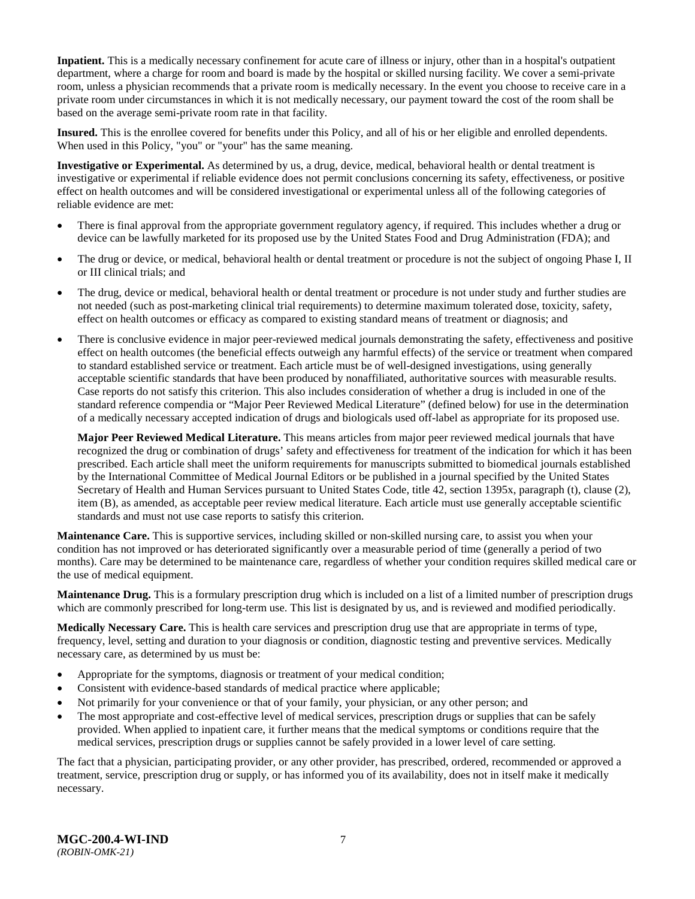**Inpatient.** This is a medically necessary confinement for acute care of illness or injury, other than in a hospital's outpatient department, where a charge for room and board is made by the hospital or skilled nursing facility. We cover a semi-private room, unless a physician recommends that a private room is medically necessary. In the event you choose to receive care in a private room under circumstances in which it is not medically necessary, our payment toward the cost of the room shall be based on the average semi-private room rate in that facility.

**Insured.** This is the enrollee covered for benefits under this Policy, and all of his or her eligible and enrolled dependents. When used in this Policy, "you" or "your" has the same meaning.

**Investigative or Experimental.** As determined by us, a drug, device, medical, behavioral health or dental treatment is investigative or experimental if reliable evidence does not permit conclusions concerning its safety, effectiveness, or positive effect on health outcomes and will be considered investigational or experimental unless all of the following categories of reliable evidence are met:

- There is final approval from the appropriate government regulatory agency, if required. This includes whether a drug or device can be lawfully marketed for its proposed use by the United States Food and Drug Administration (FDA); and
- The drug or device, or medical, behavioral health or dental treatment or procedure is not the subject of ongoing Phase I, II or III clinical trials; and
- The drug, device or medical, behavioral health or dental treatment or procedure is not under study and further studies are not needed (such as post-marketing clinical trial requirements) to determine maximum tolerated dose, toxicity, safety, effect on health outcomes or efficacy as compared to existing standard means of treatment or diagnosis; and
- There is conclusive evidence in major peer-reviewed medical journals demonstrating the safety, effectiveness and positive effect on health outcomes (the beneficial effects outweigh any harmful effects) of the service or treatment when compared to standard established service or treatment. Each article must be of well-designed investigations, using generally acceptable scientific standards that have been produced by nonaffiliated, authoritative sources with measurable results. Case reports do not satisfy this criterion. This also includes consideration of whether a drug is included in one of the standard reference compendia or "Major Peer Reviewed Medical Literature" (defined below) for use in the determination of a medically necessary accepted indication of drugs and biologicals used off-label as appropriate for its proposed use.

**Major Peer Reviewed Medical Literature.** This means articles from major peer reviewed medical journals that have recognized the drug or combination of drugs' safety and effectiveness for treatment of the indication for which it has been prescribed. Each article shall meet the uniform requirements for manuscripts submitted to biomedical journals established by the International Committee of Medical Journal Editors or be published in a journal specified by the United States Secretary of Health and Human Services pursuant to United States Code, title 42, section 1395x, paragraph (t), clause (2), item (B), as amended, as acceptable peer review medical literature. Each article must use generally acceptable scientific standards and must not use case reports to satisfy this criterion.

**Maintenance Care.** This is supportive services, including skilled or non-skilled nursing care, to assist you when your condition has not improved or has deteriorated significantly over a measurable period of time (generally a period of two months). Care may be determined to be maintenance care, regardless of whether your condition requires skilled medical care or the use of medical equipment.

**Maintenance Drug.** This is a formulary prescription drug which is included on a list of a limited number of prescription drugs which are commonly prescribed for long-term use. This list is designated by us, and is reviewed and modified periodically.

**Medically Necessary Care.** This is health care services and prescription drug use that are appropriate in terms of type, frequency, level, setting and duration to your diagnosis or condition, diagnostic testing and preventive services. Medically necessary care, as determined by us must be:

- Appropriate for the symptoms, diagnosis or treatment of your medical condition;
- Consistent with evidence-based standards of medical practice where applicable;
- Not primarily for your convenience or that of your family, your physician, or any other person; and
- The most appropriate and cost-effective level of medical services, prescription drugs or supplies that can be safely provided. When applied to inpatient care, it further means that the medical symptoms or conditions require that the medical services, prescription drugs or supplies cannot be safely provided in a lower level of care setting.

The fact that a physician, participating provider, or any other provider, has prescribed, ordered, recommended or approved a treatment, service, prescription drug or supply, or has informed you of its availability, does not in itself make it medically necessary.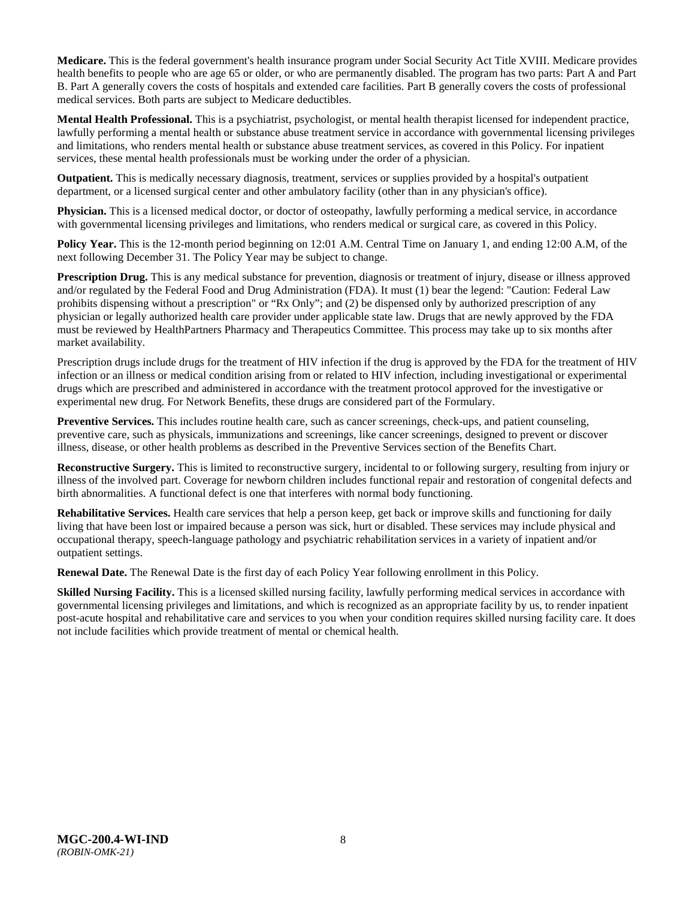**Medicare.** This is the federal government's health insurance program under Social Security Act Title XVIII. Medicare provides health benefits to people who are age 65 or older, or who are permanently disabled. The program has two parts: Part A and Part B. Part A generally covers the costs of hospitals and extended care facilities. Part B generally covers the costs of professional medical services. Both parts are subject to Medicare deductibles.

**Mental Health Professional.** This is a psychiatrist, psychologist, or mental health therapist licensed for independent practice, lawfully performing a mental health or substance abuse treatment service in accordance with governmental licensing privileges and limitations, who renders mental health or substance abuse treatment services, as covered in this Policy. For inpatient services, these mental health professionals must be working under the order of a physician.

**Outpatient.** This is medically necessary diagnosis, treatment, services or supplies provided by a hospital's outpatient department, or a licensed surgical center and other ambulatory facility (other than in any physician's office).

**Physician.** This is a licensed medical doctor, or doctor of osteopathy, lawfully performing a medical service, in accordance with governmental licensing privileges and limitations, who renders medical or surgical care, as covered in this Policy.

**Policy Year.** This is the 12-month period beginning on 12:01 A.M. Central Time on January 1, and ending 12:00 A.M, of the next following December 31. The Policy Year may be subject to change.

**Prescription Drug.** This is any medical substance for prevention, diagnosis or treatment of injury, disease or illness approved and/or regulated by the Federal Food and Drug Administration (FDA). It must (1) bear the legend: "Caution: Federal Law prohibits dispensing without a prescription" or "Rx Only"; and (2) be dispensed only by authorized prescription of any physician or legally authorized health care provider under applicable state law. Drugs that are newly approved by the FDA must be reviewed by HealthPartners Pharmacy and Therapeutics Committee. This process may take up to six months after market availability.

Prescription drugs include drugs for the treatment of HIV infection if the drug is approved by the FDA for the treatment of HIV infection or an illness or medical condition arising from or related to HIV infection, including investigational or experimental drugs which are prescribed and administered in accordance with the treatment protocol approved for the investigative or experimental new drug. For Network Benefits, these drugs are considered part of the Formulary.

**Preventive Services.** This includes routine health care, such as cancer screenings, check-ups, and patient counseling, preventive care, such as physicals, immunizations and screenings, like cancer screenings, designed to prevent or discover illness, disease, or other health problems as described in the Preventive Services section of the Benefits Chart.

**Reconstructive Surgery.** This is limited to reconstructive surgery, incidental to or following surgery, resulting from injury or illness of the involved part. Coverage for newborn children includes functional repair and restoration of congenital defects and birth abnormalities. A functional defect is one that interferes with normal body functioning.

**Rehabilitative Services.** Health care services that help a person keep, get back or improve skills and functioning for daily living that have been lost or impaired because a person was sick, hurt or disabled. These services may include physical and occupational therapy, speech-language pathology and psychiatric rehabilitation services in a variety of inpatient and/or outpatient settings.

**Renewal Date.** The Renewal Date is the first day of each Policy Year following enrollment in this Policy.

**Skilled Nursing Facility.** This is a licensed skilled nursing facility, lawfully performing medical services in accordance with governmental licensing privileges and limitations, and which is recognized as an appropriate facility by us, to render inpatient post-acute hospital and rehabilitative care and services to you when your condition requires skilled nursing facility care. It does not include facilities which provide treatment of mental or chemical health.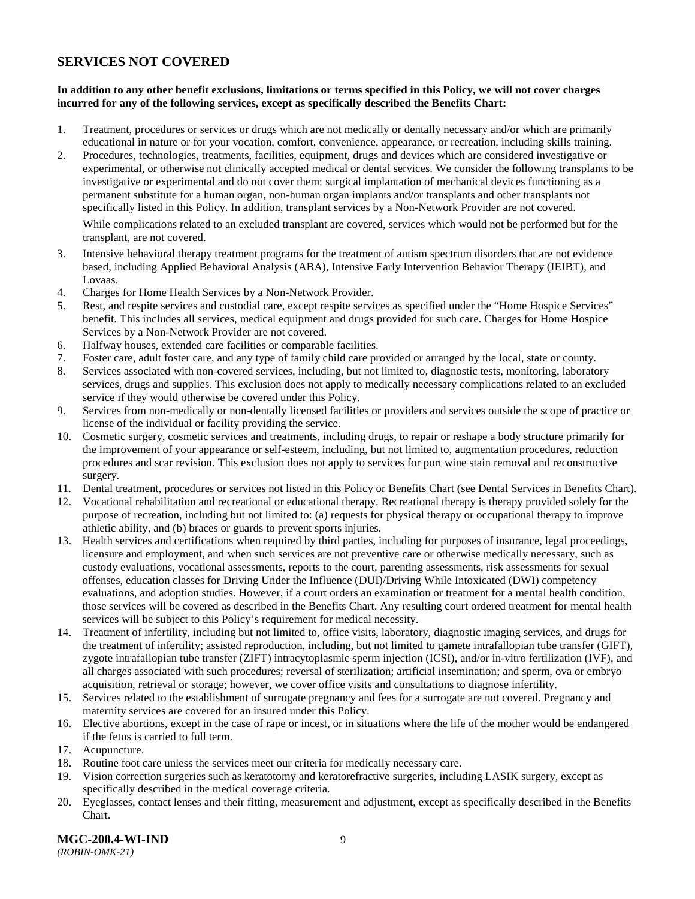# <span id="page-11-0"></span>**SERVICES NOT COVERED**

### **In addition to any other benefit exclusions, limitations or terms specified in this Policy, we will not cover charges incurred for any of the following services, except as specifically described the Benefits Chart:**

- 1. Treatment, procedures or services or drugs which are not medically or dentally necessary and/or which are primarily educational in nature or for your vocation, comfort, convenience, appearance, or recreation, including skills training.
- 2. Procedures, technologies, treatments, facilities, equipment, drugs and devices which are considered investigative or experimental, or otherwise not clinically accepted medical or dental services. We consider the following transplants to be investigative or experimental and do not cover them: surgical implantation of mechanical devices functioning as a permanent substitute for a human organ, non-human organ implants and/or transplants and other transplants not specifically listed in this Policy. In addition, transplant services by a Non-Network Provider are not covered.

While complications related to an excluded transplant are covered, services which would not be performed but for the transplant, are not covered.

- 3. Intensive behavioral therapy treatment programs for the treatment of autism spectrum disorders that are not evidence based, including Applied Behavioral Analysis (ABA), Intensive Early Intervention Behavior Therapy (IEIBT), and Lovaas.
- 4. Charges for Home Health Services by a Non-Network Provider.
- 5. Rest, and respite services and custodial care, except respite services as specified under the "Home Hospice Services" benefit. This includes all services, medical equipment and drugs provided for such care. Charges for Home Hospice Services by a Non-Network Provider are not covered.
- 6. Halfway houses, extended care facilities or comparable facilities.
- 7. Foster care, adult foster care, and any type of family child care provided or arranged by the local, state or county.
- 8. Services associated with non-covered services, including, but not limited to, diagnostic tests, monitoring, laboratory services, drugs and supplies. This exclusion does not apply to medically necessary complications related to an excluded service if they would otherwise be covered under this Policy.
- 9. Services from non-medically or non-dentally licensed facilities or providers and services outside the scope of practice or license of the individual or facility providing the service.
- 10. Cosmetic surgery, cosmetic services and treatments, including drugs, to repair or reshape a body structure primarily for the improvement of your appearance or self-esteem, including, but not limited to, augmentation procedures, reduction procedures and scar revision. This exclusion does not apply to services for port wine stain removal and reconstructive surgery.
- 11. Dental treatment, procedures or services not listed in this Policy or Benefits Chart (see Dental Services in Benefits Chart).
- 12. Vocational rehabilitation and recreational or educational therapy. Recreational therapy is therapy provided solely for the purpose of recreation, including but not limited to: (a) requests for physical therapy or occupational therapy to improve athletic ability, and (b) braces or guards to prevent sports injuries.
- 13. Health services and certifications when required by third parties, including for purposes of insurance, legal proceedings, licensure and employment, and when such services are not preventive care or otherwise medically necessary, such as custody evaluations, vocational assessments, reports to the court, parenting assessments, risk assessments for sexual offenses, education classes for Driving Under the Influence (DUI)/Driving While Intoxicated (DWI) competency evaluations, and adoption studies. However, if a court orders an examination or treatment for a mental health condition, those services will be covered as described in the Benefits Chart. Any resulting court ordered treatment for mental health services will be subject to this Policy's requirement for medical necessity.
- 14. Treatment of infertility, including but not limited to, office visits, laboratory, diagnostic imaging services, and drugs for the treatment of infertility; assisted reproduction, including, but not limited to gamete intrafallopian tube transfer (GIFT), zygote intrafallopian tube transfer (ZIFT) intracytoplasmic sperm injection (ICSI), and/or in-vitro fertilization (IVF), and all charges associated with such procedures; reversal of sterilization; artificial insemination; and sperm, ova or embryo acquisition, retrieval or storage; however, we cover office visits and consultations to diagnose infertility.
- 15. Services related to the establishment of surrogate pregnancy and fees for a surrogate are not covered. Pregnancy and maternity services are covered for an insured under this Policy.
- 16. Elective abortions, except in the case of rape or incest, or in situations where the life of the mother would be endangered if the fetus is carried to full term.
- 17. Acupuncture.
- 18. Routine foot care unless the services meet our criteria for medically necessary care.
- 19. Vision correction surgeries such as keratotomy and keratorefractive surgeries, including LASIK surgery, except as specifically described in the medical coverage criteria.
- 20. Eyeglasses, contact lenses and their fitting, measurement and adjustment, except as specifically described in the Benefits Chart.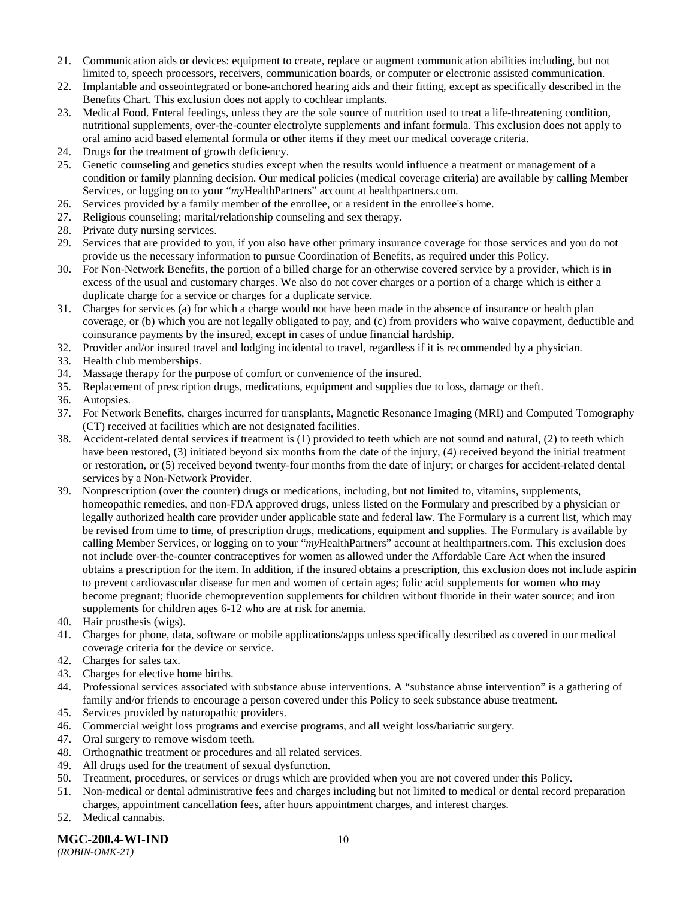- 21. Communication aids or devices: equipment to create, replace or augment communication abilities including, but not limited to, speech processors, receivers, communication boards, or computer or electronic assisted communication.
- 22. Implantable and osseointegrated or bone-anchored hearing aids and their fitting, except as specifically described in the Benefits Chart. This exclusion does not apply to cochlear implants.
- 23. Medical Food. Enteral feedings, unless they are the sole source of nutrition used to treat a life-threatening condition, nutritional supplements, over-the-counter electrolyte supplements and infant formula. This exclusion does not apply to oral amino acid based elemental formula or other items if they meet our medical coverage criteria.
- 24. Drugs for the treatment of growth deficiency.
- 25. Genetic counseling and genetics studies except when the results would influence a treatment or management of a condition or family planning decision. Our medical policies (medical coverage criteria) are available by calling Member Services, or logging on to your "*my*HealthPartners" account at [healthpartners.com.](http://www.healthpartners.com/)
- 26. Services provided by a family member of the enrollee, or a resident in the enrollee's home.
- 27. Religious counseling; marital/relationship counseling and sex therapy.
- 28. Private duty nursing services.
- 29. Services that are provided to you, if you also have other primary insurance coverage for those services and you do not provide us the necessary information to pursue Coordination of Benefits, as required under this Policy.
- 30. For Non-Network Benefits, the portion of a billed charge for an otherwise covered service by a provider, which is in excess of the usual and customary charges. We also do not cover charges or a portion of a charge which is either a duplicate charge for a service or charges for a duplicate service.
- 31. Charges for services (a) for which a charge would not have been made in the absence of insurance or health plan coverage, or (b) which you are not legally obligated to pay, and (c) from providers who waive copayment, deductible and coinsurance payments by the insured, except in cases of undue financial hardship.
- 32. Provider and/or insured travel and lodging incidental to travel, regardless if it is recommended by a physician.
- 33. Health club memberships.
- 34. Massage therapy for the purpose of comfort or convenience of the insured.
- 35. Replacement of prescription drugs, medications, equipment and supplies due to loss, damage or theft.
- 36. Autopsies.
- 37. For Network Benefits, charges incurred for transplants, Magnetic Resonance Imaging (MRI) and Computed Tomography (CT) received at facilities which are not designated facilities.
- 38. Accident-related dental services if treatment is (1) provided to teeth which are not sound and natural, (2) to teeth which have been restored, (3) initiated beyond six months from the date of the injury, (4) received beyond the initial treatment or restoration, or (5) received beyond twenty-four months from the date of injury; or charges for accident-related dental services by a Non-Network Provider.
- 39. Nonprescription (over the counter) drugs or medications, including, but not limited to, vitamins, supplements, homeopathic remedies, and non-FDA approved drugs, unless listed on the Formulary and prescribed by a physician or legally authorized health care provider under applicable state and federal law. The Formulary is a current list, which may be revised from time to time, of prescription drugs, medications, equipment and supplies. The Formulary is available by calling Member Services, or logging on to your "*my*HealthPartners" account at [healthpartners.com.](http://www.healthpartners.com/) This exclusion does not include over-the-counter contraceptives for women as allowed under the Affordable Care Act when the insured obtains a prescription for the item. In addition, if the insured obtains a prescription, this exclusion does not include aspirin to prevent cardiovascular disease for men and women of certain ages; folic acid supplements for women who may become pregnant; fluoride chemoprevention supplements for children without fluoride in their water source; and iron supplements for children ages 6-12 who are at risk for anemia.
- 40. Hair prosthesis (wigs).
- 41. Charges for phone, data, software or mobile applications/apps unless specifically described as covered in our medical coverage criteria for the device or service.
- 42. Charges for sales tax.
- 43. Charges for elective home births.
- 44. Professional services associated with substance abuse interventions. A "substance abuse intervention" is a gathering of family and/or friends to encourage a person covered under this Policy to seek substance abuse treatment.
- 45. Services provided by naturopathic providers.
- 46. Commercial weight loss programs and exercise programs, and all weight loss/bariatric surgery.
- 47. Oral surgery to remove wisdom teeth.
- 48. Orthognathic treatment or procedures and all related services.
- 49. All drugs used for the treatment of sexual dysfunction.
- 50. Treatment, procedures, or services or drugs which are provided when you are not covered under this Policy.
- 51. Non-medical or dental administrative fees and charges including but not limited to medical or dental record preparation charges, appointment cancellation fees, after hours appointment charges, and interest charges.
- 52. Medical cannabis.

**MGC-200.4-WI-IND** 10 *(ROBIN-OMK-21)*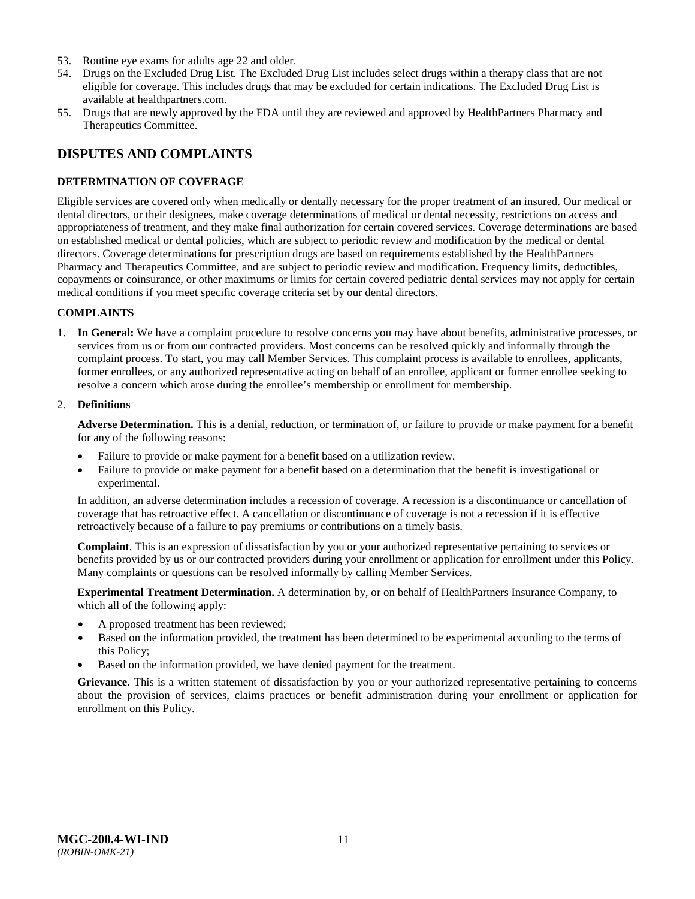- 53. Routine eye exams for adults age 22 and older.
- 54. Drugs on the Excluded Drug List. The Excluded Drug List includes select drugs within a therapy class that are not eligible for coverage. This includes drugs that may be excluded for certain indications. The Excluded Drug List is available at healthpartners.com.
- 55. Drugs that are newly approved by the FDA until they are reviewed and approved by HealthPartners Pharmacy and Therapeutics Committee.

# <span id="page-13-0"></span>**DISPUTES AND COMPLAINTS**

### <span id="page-13-1"></span>**DETERMINATION OF COVERAGE**

Eligible services are covered only when medically or dentally necessary for the proper treatment of an insured. Our medical or dental directors, or their designees, make coverage determinations of medical or dental necessity, restrictions on access and appropriateness of treatment, and they make final authorization for certain covered services. Coverage determinations are based on established medical or dental policies, which are subject to periodic review and modification by the medical or dental directors. Coverage determinations for prescription drugs are based on requirements established by the HealthPartners Pharmacy and Therapeutics Committee, and are subject to periodic review and modification. Frequency limits, deductibles, copayments or coinsurance, or other maximums or limits for certain covered pediatric dental services may not apply for certain medical conditions if you meet specific coverage criteria set by our dental directors.

### **COMPLAINTS**

1. **In General:** We have a complaint procedure to resolve concerns you may have about benefits, administrative processes, or services from us or from our contracted providers. Most concerns can be resolved quickly and informally through the complaint process. To start, you may call Member Services. This complaint process is available to enrollees, applicants, former enrollees, or any authorized representative acting on behalf of an enrollee, applicant or former enrollee seeking to resolve a concern which arose during the enrollee's membership or enrollment for membership.

#### 2. **Definitions**

**Adverse Determination.** This is a denial, reduction, or termination of, or failure to provide or make payment for a benefit for any of the following reasons:

- Failure to provide or make payment for a benefit based on a utilization review.
- Failure to provide or make payment for a benefit based on a determination that the benefit is investigational or experimental.

In addition, an adverse determination includes a recession of coverage. A recession is a discontinuance or cancellation of coverage that has retroactive effect. A cancellation or discontinuance of coverage is not a recession if it is effective retroactively because of a failure to pay premiums or contributions on a timely basis.

**Complaint**. This is an expression of dissatisfaction by you or your authorized representative pertaining to services or benefits provided by us or our contracted providers during your enrollment or application for enrollment under this Policy. Many complaints or questions can be resolved informally by calling Member Services.

**Experimental Treatment Determination.** A determination by, or on behalf of HealthPartners Insurance Company, to which all of the following apply:

- A proposed treatment has been reviewed;
- Based on the information provided, the treatment has been determined to be experimental according to the terms of this Policy;
- Based on the information provided, we have denied payment for the treatment.

**Grievance.** This is a written statement of dissatisfaction by you or your authorized representative pertaining to concerns about the provision of services, claims practices or benefit administration during your enrollment or application for enrollment on this Policy.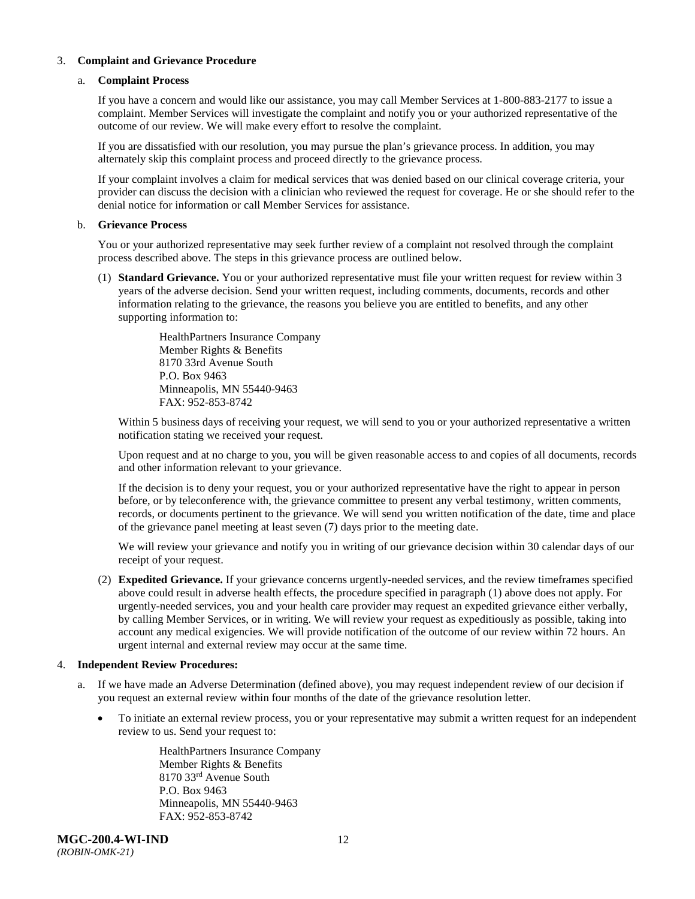### 3. **Complaint and Grievance Procedure**

#### a. **Complaint Process**

If you have a concern and would like our assistance, you may call Member Services at 1-800-883-2177 to issue a complaint. Member Services will investigate the complaint and notify you or your authorized representative of the outcome of our review. We will make every effort to resolve the complaint.

If you are dissatisfied with our resolution, you may pursue the plan's grievance process. In addition, you may alternately skip this complaint process and proceed directly to the grievance process.

If your complaint involves a claim for medical services that was denied based on our clinical coverage criteria, your provider can discuss the decision with a clinician who reviewed the request for coverage. He or she should refer to the denial notice for information or call Member Services for assistance.

#### b. **Grievance Process**

You or your authorized representative may seek further review of a complaint not resolved through the complaint process described above. The steps in this grievance process are outlined below.

(1) **Standard Grievance.** You or your authorized representative must file your written request for review within 3 years of the adverse decision. Send your written request, including comments, documents, records and other information relating to the grievance, the reasons you believe you are entitled to benefits, and any other supporting information to:

> HealthPartners Insurance Company Member Rights & Benefits 8170 33rd Avenue South P.O. Box 9463 Minneapolis, MN 55440-9463 FAX: 952-853-8742

Within 5 business days of receiving your request, we will send to you or your authorized representative a written notification stating we received your request.

Upon request and at no charge to you, you will be given reasonable access to and copies of all documents, records and other information relevant to your grievance.

If the decision is to deny your request, you or your authorized representative have the right to appear in person before, or by teleconference with, the grievance committee to present any verbal testimony, written comments, records, or documents pertinent to the grievance. We will send you written notification of the date, time and place of the grievance panel meeting at least seven (7) days prior to the meeting date.

We will review your grievance and notify you in writing of our grievance decision within 30 calendar days of our receipt of your request.

(2) **Expedited Grievance.** If your grievance concerns urgently-needed services, and the review timeframes specified above could result in adverse health effects, the procedure specified in paragraph (1) above does not apply. For urgently-needed services, you and your health care provider may request an expedited grievance either verbally, by calling Member Services, or in writing. We will review your request as expeditiously as possible, taking into account any medical exigencies. We will provide notification of the outcome of our review within 72 hours. An urgent internal and external review may occur at the same time.

### 4. **Independent Review Procedures:**

- a. If we have made an Adverse Determination (defined above), you may request independent review of our decision if you request an external review within four months of the date of the grievance resolution letter.
	- To initiate an external review process, you or your representative may submit a written request for an independent review to us. Send your request to:

HealthPartners Insurance Company Member Rights & Benefits 8170 33rd Avenue South P.O. Box 9463 Minneapolis, MN 55440-9463 FAX: 952-853-8742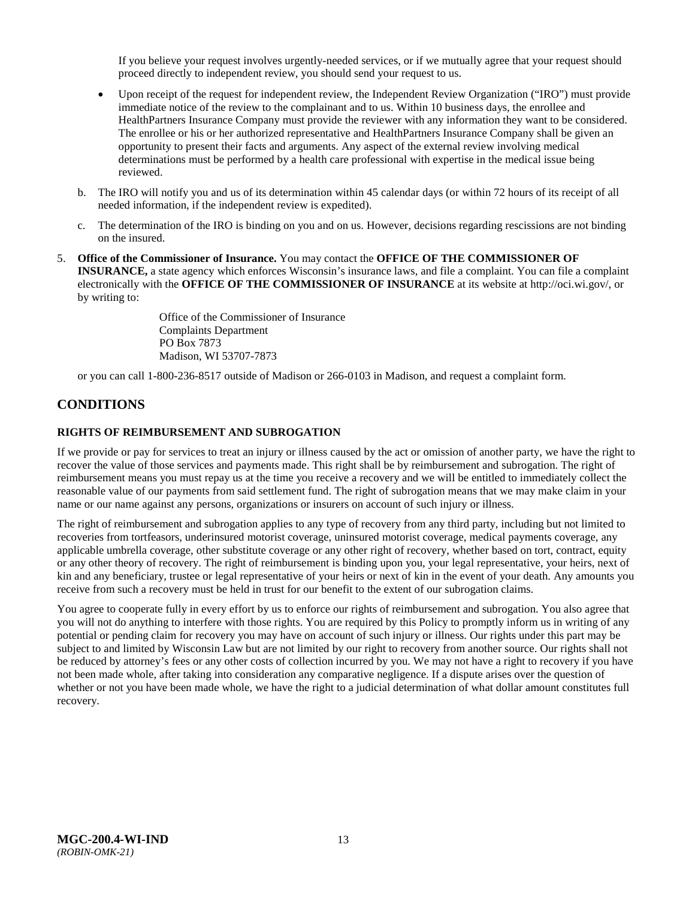If you believe your request involves urgently-needed services, or if we mutually agree that your request should proceed directly to independent review, you should send your request to us.

- Upon receipt of the request for independent review, the Independent Review Organization ("IRO") must provide immediate notice of the review to the complainant and to us. Within 10 business days, the enrollee and HealthPartners Insurance Company must provide the reviewer with any information they want to be considered. The enrollee or his or her authorized representative and HealthPartners Insurance Company shall be given an opportunity to present their facts and arguments. Any aspect of the external review involving medical determinations must be performed by a health care professional with expertise in the medical issue being reviewed.
- b. The IRO will notify you and us of its determination within 45 calendar days (or within 72 hours of its receipt of all needed information, if the independent review is expedited).
- c. The determination of the IRO is binding on you and on us. However, decisions regarding rescissions are not binding on the insured.
- 5. **Office of the Commissioner of Insurance.** You may contact the **OFFICE OF THE COMMISSIONER OF INSURANCE,** a state agency which enforces Wisconsin's insurance laws, and file a complaint. You can file a complaint electronically with the **OFFICE OF THE COMMISSIONER OF INSURANCE** at its website at http://oci.wi.gov/, or by writing to:

Office of the Commissioner of Insurance Complaints Department PO Box 7873 Madison, WI 53707-7873

or you can call 1-800-236-8517 outside of Madison or 266-0103 in Madison, and request a complaint form.

# <span id="page-15-0"></span>**CONDITIONS**

### <span id="page-15-1"></span>**RIGHTS OF REIMBURSEMENT AND SUBROGATION**

If we provide or pay for services to treat an injury or illness caused by the act or omission of another party, we have the right to recover the value of those services and payments made. This right shall be by reimbursement and subrogation. The right of reimbursement means you must repay us at the time you receive a recovery and we will be entitled to immediately collect the reasonable value of our payments from said settlement fund. The right of subrogation means that we may make claim in your name or our name against any persons, organizations or insurers on account of such injury or illness.

The right of reimbursement and subrogation applies to any type of recovery from any third party, including but not limited to recoveries from tortfeasors, underinsured motorist coverage, uninsured motorist coverage, medical payments coverage, any applicable umbrella coverage, other substitute coverage or any other right of recovery, whether based on tort, contract, equity or any other theory of recovery. The right of reimbursement is binding upon you, your legal representative, your heirs, next of kin and any beneficiary, trustee or legal representative of your heirs or next of kin in the event of your death. Any amounts you receive from such a recovery must be held in trust for our benefit to the extent of our subrogation claims.

You agree to cooperate fully in every effort by us to enforce our rights of reimbursement and subrogation. You also agree that you will not do anything to interfere with those rights. You are required by this Policy to promptly inform us in writing of any potential or pending claim for recovery you may have on account of such injury or illness. Our rights under this part may be subject to and limited by Wisconsin Law but are not limited by our right to recovery from another source. Our rights shall not be reduced by attorney's fees or any other costs of collection incurred by you. We may not have a right to recovery if you have not been made whole, after taking into consideration any comparative negligence. If a dispute arises over the question of whether or not you have been made whole, we have the right to a judicial determination of what dollar amount constitutes full recovery.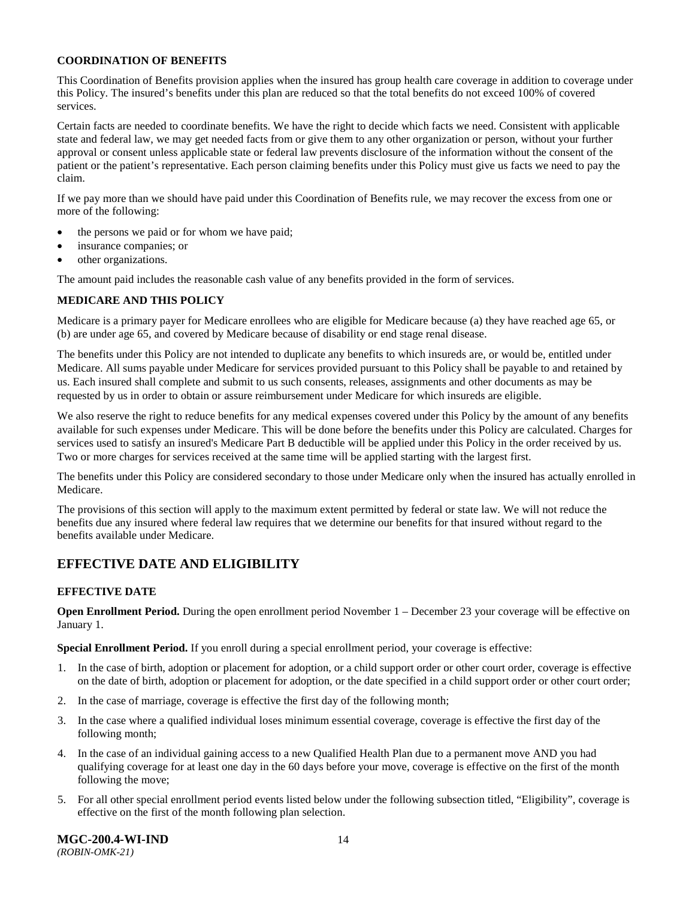### **COORDINATION OF BENEFITS**

This Coordination of Benefits provision applies when the insured has group health care coverage in addition to coverage under this Policy. The insured's benefits under this plan are reduced so that the total benefits do not exceed 100% of covered services.

Certain facts are needed to coordinate benefits. We have the right to decide which facts we need. Consistent with applicable state and federal law, we may get needed facts from or give them to any other organization or person, without your further approval or consent unless applicable state or federal law prevents disclosure of the information without the consent of the patient or the patient's representative. Each person claiming benefits under this Policy must give us facts we need to pay the claim.

If we pay more than we should have paid under this Coordination of Benefits rule, we may recover the excess from one or more of the following:

- the persons we paid or for whom we have paid;
- insurance companies; or
- other organizations.

The amount paid includes the reasonable cash value of any benefits provided in the form of services.

### **MEDICARE AND THIS POLICY**

Medicare is a primary payer for Medicare enrollees who are eligible for Medicare because (a) they have reached age 65, or (b) are under age 65, and covered by Medicare because of disability or end stage renal disease.

The benefits under this Policy are not intended to duplicate any benefits to which insureds are, or would be, entitled under Medicare. All sums payable under Medicare for services provided pursuant to this Policy shall be payable to and retained by us. Each insured shall complete and submit to us such consents, releases, assignments and other documents as may be requested by us in order to obtain or assure reimbursement under Medicare for which insureds are eligible.

We also reserve the right to reduce benefits for any medical expenses covered under this Policy by the amount of any benefits available for such expenses under Medicare. This will be done before the benefits under this Policy are calculated. Charges for services used to satisfy an insured's Medicare Part B deductible will be applied under this Policy in the order received by us. Two or more charges for services received at the same time will be applied starting with the largest first.

The benefits under this Policy are considered secondary to those under Medicare only when the insured has actually enrolled in Medicare.

The provisions of this section will apply to the maximum extent permitted by federal or state law. We will not reduce the benefits due any insured where federal law requires that we determine our benefits for that insured without regard to the benefits available under Medicare.

# <span id="page-16-0"></span>**EFFECTIVE DATE AND ELIGIBILITY**

### <span id="page-16-1"></span>**EFFECTIVE DATE**

**Open Enrollment Period.** During the open enrollment period November 1 – December 23 your coverage will be effective on January 1.

**Special Enrollment Period.** If you enroll during a special enrollment period, your coverage is effective:

- 1. In the case of birth, adoption or placement for adoption, or a child support order or other court order, coverage is effective on the date of birth, adoption or placement for adoption, or the date specified in a child support order or other court order;
- 2. In the case of marriage, coverage is effective the first day of the following month;
- 3. In the case where a qualified individual loses minimum essential coverage, coverage is effective the first day of the following month;
- 4. In the case of an individual gaining access to a new Qualified Health Plan due to a permanent move AND you had qualifying coverage for at least one day in the 60 days before your move, coverage is effective on the first of the month following the move;
- 5. For all other special enrollment period events listed below under the following subsection titled, "Eligibility", coverage is effective on the first of the month following plan selection.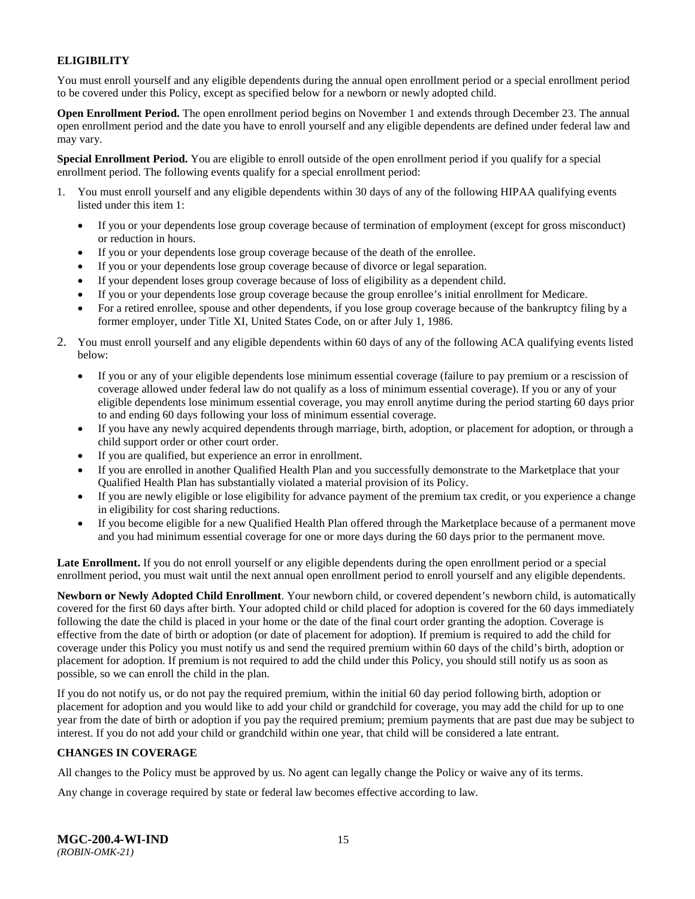### <span id="page-17-0"></span>**ELIGIBILITY**

You must enroll yourself and any eligible dependents during the annual open enrollment period or a special enrollment period to be covered under this Policy, except as specified below for a newborn or newly adopted child.

**Open Enrollment Period.** The open enrollment period begins on November 1 and extends through December 23. The annual open enrollment period and the date you have to enroll yourself and any eligible dependents are defined under federal law and may vary.

**Special Enrollment Period.** You are eligible to enroll outside of the open enrollment period if you qualify for a special enrollment period. The following events qualify for a special enrollment period:

- 1. You must enroll yourself and any eligible dependents within 30 days of any of the following HIPAA qualifying events listed under this item 1:
	- If you or your dependents lose group coverage because of termination of employment (except for gross misconduct) or reduction in hours.
	- If you or your dependents lose group coverage because of the death of the enrollee.
	- If you or your dependents lose group coverage because of divorce or legal separation.
	- If your dependent loses group coverage because of loss of eligibility as a dependent child.
	- If you or your dependents lose group coverage because the group enrollee's initial enrollment for Medicare.
	- For a retired enrollee, spouse and other dependents, if you lose group coverage because of the bankruptcy filing by a former employer, under Title XI, United States Code, on or after July 1, 1986.
- 2. You must enroll yourself and any eligible dependents within 60 days of any of the following ACA qualifying events listed below:
	- If you or any of your eligible dependents lose minimum essential coverage (failure to pay premium or a rescission of coverage allowed under federal law do not qualify as a loss of minimum essential coverage). If you or any of your eligible dependents lose minimum essential coverage, you may enroll anytime during the period starting 60 days prior to and ending 60 days following your loss of minimum essential coverage.
	- If you have any newly acquired dependents through marriage, birth, adoption, or placement for adoption, or through a child support order or other court order.
	- If you are qualified, but experience an error in enrollment.
	- If you are enrolled in another Qualified Health Plan and you successfully demonstrate to the Marketplace that your Qualified Health Plan has substantially violated a material provision of its Policy.
	- If you are newly eligible or lose eligibility for advance payment of the premium tax credit, or you experience a change in eligibility for cost sharing reductions.
	- If you become eligible for a new Qualified Health Plan offered through the Marketplace because of a permanent move and you had minimum essential coverage for one or more days during the 60 days prior to the permanent move.

**Late Enrollment.** If you do not enroll yourself or any eligible dependents during the open enrollment period or a special enrollment period, you must wait until the next annual open enrollment period to enroll yourself and any eligible dependents.

**Newborn or Newly Adopted Child Enrollment**. Your newborn child, or covered dependent's newborn child, is automatically covered for the first 60 days after birth. Your adopted child or child placed for adoption is covered for the 60 days immediately following the date the child is placed in your home or the date of the final court order granting the adoption. Coverage is effective from the date of birth or adoption (or date of placement for adoption). If premium is required to add the child for coverage under this Policy you must notify us and send the required premium within 60 days of the child's birth, adoption or placement for adoption. If premium is not required to add the child under this Policy, you should still notify us as soon as possible, so we can enroll the child in the plan.

If you do not notify us, or do not pay the required premium, within the initial 60 day period following birth, adoption or placement for adoption and you would like to add your child or grandchild for coverage, you may add the child for up to one year from the date of birth or adoption if you pay the required premium; premium payments that are past due may be subject to interest. If you do not add your child or grandchild within one year, that child will be considered a late entrant.

### <span id="page-17-1"></span>**CHANGES IN COVERAGE**

All changes to the Policy must be approved by us. No agent can legally change the Policy or waive any of its terms.

Any change in coverage required by state or federal law becomes effective according to law.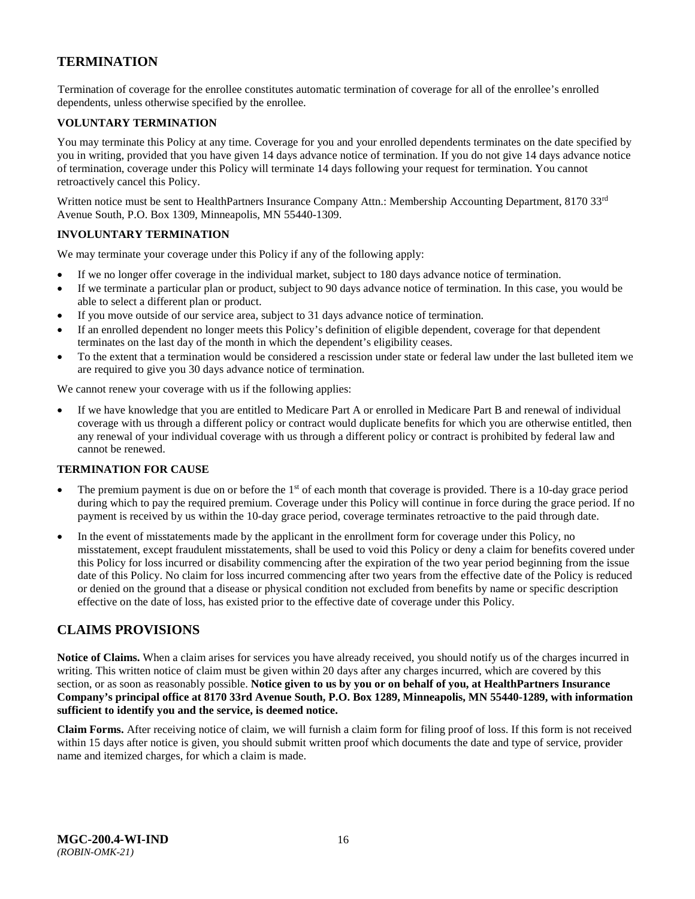# <span id="page-18-0"></span>**TERMINATION**

Termination of coverage for the enrollee constitutes automatic termination of coverage for all of the enrollee's enrolled dependents, unless otherwise specified by the enrollee.

### <span id="page-18-1"></span>**VOLUNTARY TERMINATION**

You may terminate this Policy at any time. Coverage for you and your enrolled dependents terminates on the date specified by you in writing, provided that you have given 14 days advance notice of termination. If you do not give 14 days advance notice of termination, coverage under this Policy will terminate 14 days following your request for termination. You cannot retroactively cancel this Policy.

Written notice must be sent to HealthPartners Insurance Company Attn.: Membership Accounting Department, 8170 33<sup>rd</sup> Avenue South, P.O. Box 1309, Minneapolis, MN 55440-1309.

### <span id="page-18-2"></span>**INVOLUNTARY TERMINATION**

We may terminate your coverage under this Policy if any of the following apply:

- If we no longer offer coverage in the individual market, subject to 180 days advance notice of termination.
- If we terminate a particular plan or product, subject to 90 days advance notice of termination. In this case, you would be able to select a different plan or product.
- If you move outside of our service area, subject to 31 days advance notice of termination.
- If an enrolled dependent no longer meets this Policy's definition of eligible dependent, coverage for that dependent terminates on the last day of the month in which the dependent's eligibility ceases.
- To the extent that a termination would be considered a rescission under state or federal law under the last bulleted item we are required to give you 30 days advance notice of termination.

We cannot renew your coverage with us if the following applies:

If we have knowledge that you are entitled to Medicare Part A or enrolled in Medicare Part B and renewal of individual coverage with us through a different policy or contract would duplicate benefits for which you are otherwise entitled, then any renewal of your individual coverage with us through a different policy or contract is prohibited by federal law and cannot be renewed.

### <span id="page-18-3"></span>**TERMINATION FOR CAUSE**

- The premium payment is due on or before the  $1<sup>st</sup>$  of each month that coverage is provided. There is a 10-day grace period during which to pay the required premium. Coverage under this Policy will continue in force during the grace period. If no payment is received by us within the 10-day grace period, coverage terminates retroactive to the paid through date.
- In the event of misstatements made by the applicant in the enrollment form for coverage under this Policy, no misstatement, except fraudulent misstatements, shall be used to void this Policy or deny a claim for benefits covered under this Policy for loss incurred or disability commencing after the expiration of the two year period beginning from the issue date of this Policy. No claim for loss incurred commencing after two years from the effective date of the Policy is reduced or denied on the ground that a disease or physical condition not excluded from benefits by name or specific description effective on the date of loss, has existed prior to the effective date of coverage under this Policy.

### <span id="page-18-4"></span>**CLAIMS PROVISIONS**

**Notice of Claims.** When a claim arises for services you have already received, you should notify us of the charges incurred in writing. This written notice of claim must be given within 20 days after any charges incurred, which are covered by this section, or as soon as reasonably possible. **Notice given to us by you or on behalf of you, at HealthPartners Insurance Company's principal office at 8170 33rd Avenue South, P.O. Box 1289, Minneapolis, MN 55440-1289, with information sufficient to identify you and the service, is deemed notice.**

**Claim Forms.** After receiving notice of claim, we will furnish a claim form for filing proof of loss. If this form is not received within 15 days after notice is given, you should submit written proof which documents the date and type of service, provider name and itemized charges, for which a claim is made.